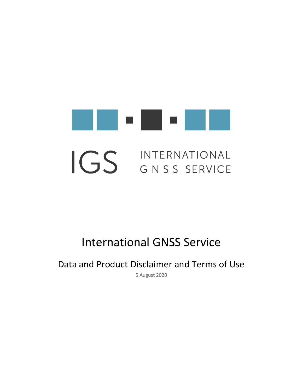

# International GNSS Service

Data and Product Disclaimer and Terms of Use

5 August 2020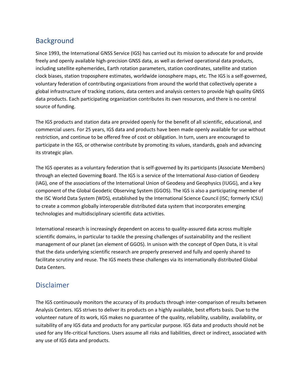### **Background**

Since 1993, the International GNSS Service (IGS) has carried out its mission to advocate for and provide freely and openly available high-precision GNSS data, as well as derived operational data products, including satellite ephemerides, Earth rotation parameters, station coordinates, satellite and station clock biases, station troposphere estimates, worldwide ionosphere maps, etc. The IGS is a self-governed, voluntary federation of contributing organizations from around the world that collectively operate a global infrastructure of tracking stations, data centers and analysis centers to provide high quality GNSS data products. Each participating organization contributes its own resources, and there is no central source of funding.

The IGS products and station data are provided openly for the benefit of all scientific, educational, and commercial users. For 25 years, IGS data and products have been made openly available for use without restriction, and continue to be offered free of cost or obligation. In turn, users are encouraged to participate in the IGS, or otherwise contribute by promoting its values, standards, goals and advancing its strategic plan.

The IGS operates as a voluntary federation that is self-governed by its participants (Associate Members) through an elected Governing Board. The IGS is a service of the International Asso-ciation of Geodesy (IAG), one of the associations of the International Union of Geodesy and Geophysics (IUGG), and a key component of the Global Geodetic Observing System (GGOS). The IGS is also a participating member of the ISC World Data System (WDS), established by the International Science Council (ISC; formerly ICSU) to create a common globally interoperable distributed data system that incorporates emerging technologies and multidisciplinary scientific data activities.

International research is increasingly dependent on access to quality-assured data across multiple scientific domains, in particular to tackle the pressing challenges of sustainability and the resilient management of our planet (an element of GGOS). In unison with the concept of Open Data, it is vital that the data underlying scientific research are properly preserved and fully and openly shared to facilitate scrutiny and reuse. The IGS meets these challenges via its internationally distributed Global Data Centers.

#### Disclaimer

The IGS continuously monitors the accuracy of its products through inter-comparison of results between Analysis Centers. IGS strives to deliver its products on a highly available, best efforts basis. Due to the volunteer nature of its work, IGS makes no guarantee of the quality, reliability, usability, availability, or suitability of any IGS data and products for any particular purpose. IGS data and products should not be used for any life-critical functions. Users assume all risks and liabilities, direct or indirect, associated with any use of IGS data and products.